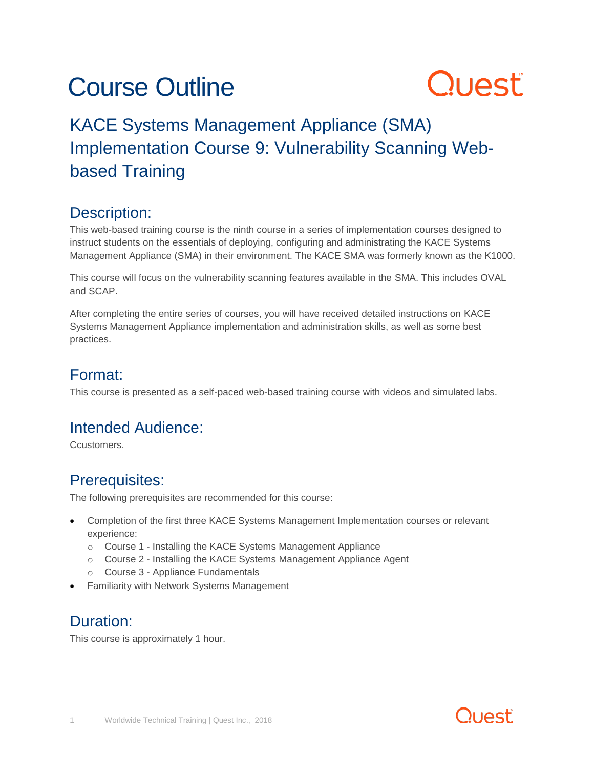## Course Outline

# Quest

### KACE Systems Management Appliance (SMA) Implementation Course 9: Vulnerability Scanning Webbased Training

#### Description:

This web-based training course is the ninth course in a series of implementation courses designed to instruct students on the essentials of deploying, configuring and administrating the KACE Systems Management Appliance (SMA) in their environment. The KACE SMA was formerly known as the K1000.

This course will focus on the vulnerability scanning features available in the SMA. This includes OVAL and SCAP.

After completing the entire series of courses, you will have received detailed instructions on KACE Systems Management Appliance implementation and administration skills, as well as some best practices.

#### Format:

This course is presented as a self-paced web-based training course with videos and simulated labs.

#### Intended Audience:

Ccustomers.

#### Prerequisites:

The following prerequisites are recommended for this course:

- Completion of the first three KACE Systems Management Implementation courses or relevant experience:
	- o Course 1 Installing the KACE Systems Management Appliance
	- o Course 2 Installing the KACE Systems Management Appliance Agent
	- o Course 3 Appliance Fundamentals
- Familiarity with Network Systems Management

#### Duration:

This course is approximately 1 hour.